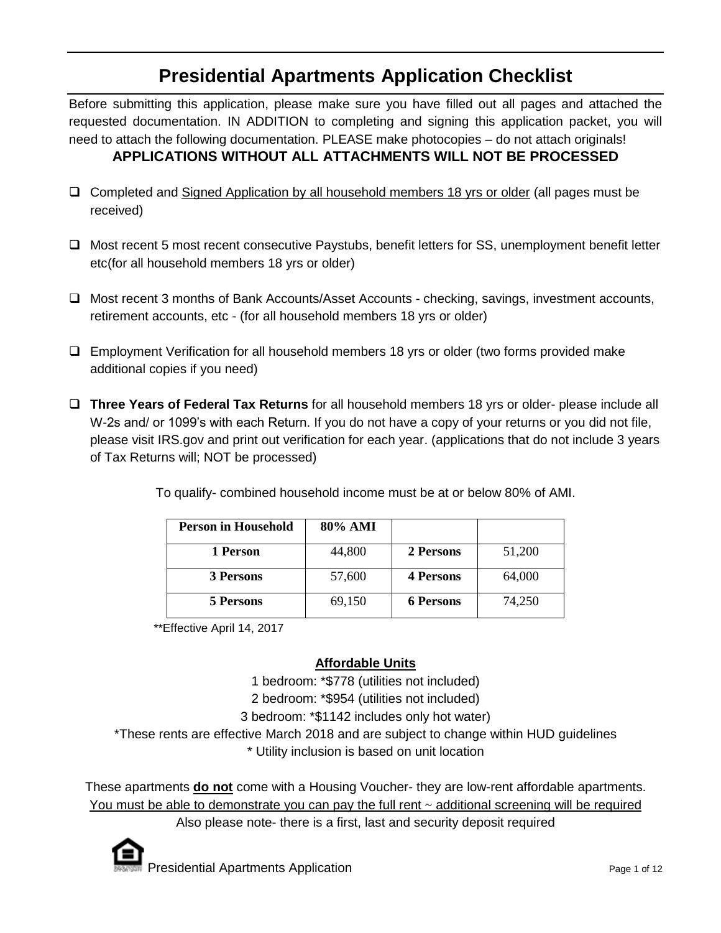# **Presidential Apartments Application Checklist**

Before submitting this application, please make sure you have filled out all pages and attached the requested documentation. IN ADDITION to completing and signing this application packet, you will need to attach the following documentation. PLEASE make photocopies – do not attach originals! **APPLICATIONS WITHOUT ALL ATTACHMENTS WILL NOT BE PROCESSED**

- $\Box$  Completed and Signed Application by all household members 18 yrs or older (all pages must be received)
- □ Most recent 5 most recent consecutive Paystubs, benefit letters for SS, unemployment benefit letter etc(for all household members 18 yrs or older)
- □ Most recent 3 months of Bank Accounts/Asset Accounts checking, savings, investment accounts, retirement accounts, etc - (for all household members 18 yrs or older)
- $\Box$  Employment Verification for all household members 18 yrs or older (two forms provided make additional copies if you need)
- **Three Years of Federal Tax Returns** for all household members 18 yrs or older- please include all W-2s and/ or 1099's with each Return. If you do not have a copy of your returns or you did not file, please visit IRS.gov and print out verification for each year. (applications that do not include 3 years of Tax Returns will; NOT be processed)

| <b>Person in Household</b> | 80% AMI |                  |        |
|----------------------------|---------|------------------|--------|
| 1 Person                   | 44,800  | 2 Persons        | 51,200 |
| 3 Persons                  | 57,600  | <b>4 Persons</b> | 64,000 |
| 5 Persons                  | 69,150  | <b>6 Persons</b> | 74,250 |

To qualify- combined household income must be at or below 80% of AMI.

\*\*Effective April 14, 2017

## **Affordable Units**

1 bedroom: \*\$778 (utilities not included)

2 bedroom: \*\$954 (utilities not included)

3 bedroom: \*\$1142 includes only hot water)

\*These rents are effective March 2018 and are subject to change within HUD guidelines

\* Utility inclusion is based on unit location

These apartments **do not** come with a Housing Voucher- they are low-rent affordable apartments. You must be able to demonstrate you can pay the full rent  $\sim$  additional screening will be required

Also please note- there is a first, last and security deposit required

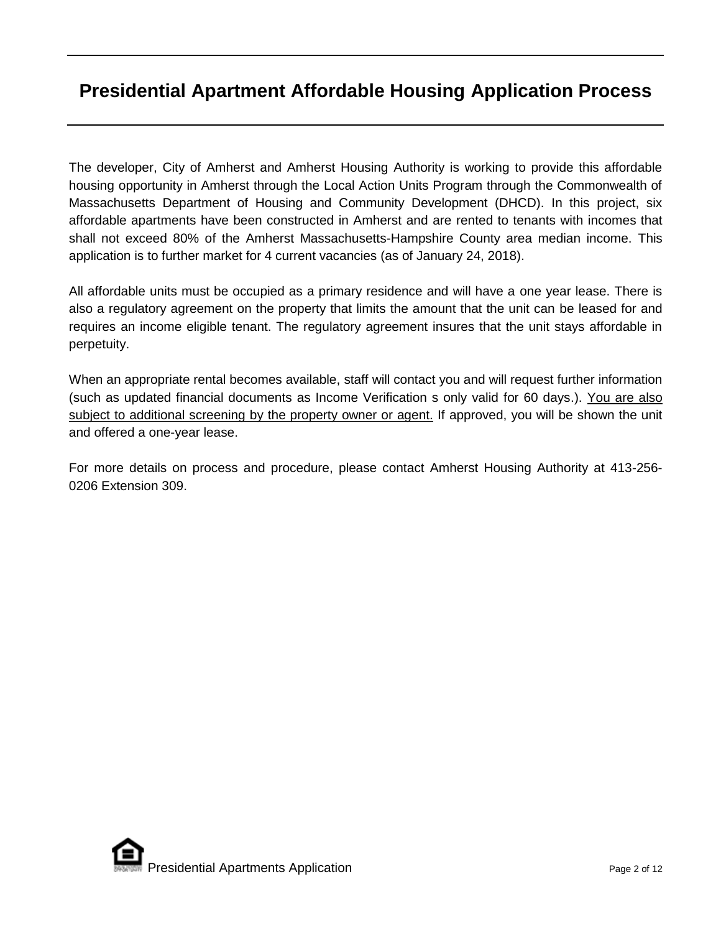# **Presidential Apartment Affordable Housing Application Process**

The developer, City of Amherst and Amherst Housing Authority is working to provide this affordable housing opportunity in Amherst through the Local Action Units Program through the Commonwealth of Massachusetts Department of Housing and Community Development (DHCD). In this project, six affordable apartments have been constructed in Amherst and are rented to tenants with incomes that shall not exceed 80% of the Amherst Massachusetts-Hampshire County area median income. This application is to further market for 4 current vacancies (as of January 24, 2018).

All affordable units must be occupied as a primary residence and will have a one year lease. There is also a regulatory agreement on the property that limits the amount that the unit can be leased for and requires an income eligible tenant. The regulatory agreement insures that the unit stays affordable in perpetuity.

When an appropriate rental becomes available, staff will contact you and will request further information (such as updated financial documents as Income Verification s only valid for 60 days.). You are also subject to additional screening by the property owner or agent. If approved, you will be shown the unit and offered a one-year lease.

For more details on process and procedure, please contact Amherst Housing Authority at 413-256- 0206 Extension 309.

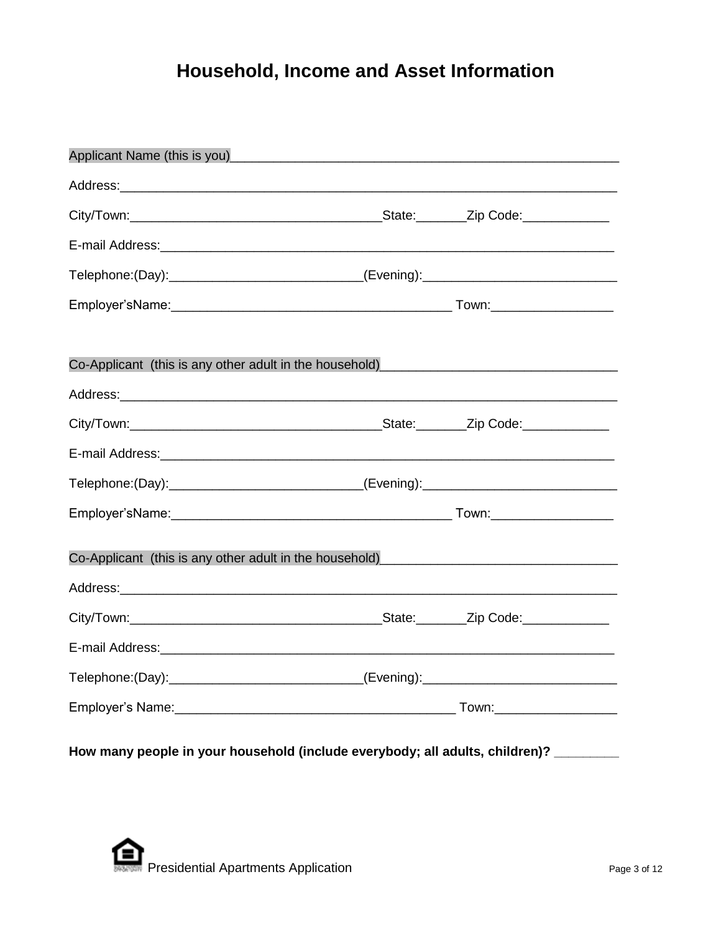# **Household, Income and Asset Information**

| Applicant Name (this is you)<br><u>example and the contract of the set of the set of the set of the set of the set of the set of the set of the set of the set of the set of the set of the set of the set of the set of the set o</u> |  |  |  |  |
|----------------------------------------------------------------------------------------------------------------------------------------------------------------------------------------------------------------------------------------|--|--|--|--|
| Address: Address:                                                                                                                                                                                                                      |  |  |  |  |
|                                                                                                                                                                                                                                        |  |  |  |  |
|                                                                                                                                                                                                                                        |  |  |  |  |
| Telephone:(Day):_____________________________(Evening):_________________________                                                                                                                                                       |  |  |  |  |
|                                                                                                                                                                                                                                        |  |  |  |  |
|                                                                                                                                                                                                                                        |  |  |  |  |
| Co-Applicant (this is any other adult in the household)                                                                                                                                                                                |  |  |  |  |
|                                                                                                                                                                                                                                        |  |  |  |  |
|                                                                                                                                                                                                                                        |  |  |  |  |
|                                                                                                                                                                                                                                        |  |  |  |  |
| Telephone:(Day):_____________________________(Evening):_________________________                                                                                                                                                       |  |  |  |  |
|                                                                                                                                                                                                                                        |  |  |  |  |
| Co-Applicant (this is any other adult in the household)<br><u>Co-Applicant</u> (this is any other adult in the household)                                                                                                              |  |  |  |  |
|                                                                                                                                                                                                                                        |  |  |  |  |
|                                                                                                                                                                                                                                        |  |  |  |  |
| Telephone:(Day):_____________________________(Evening):_________________________                                                                                                                                                       |  |  |  |  |
|                                                                                                                                                                                                                                        |  |  |  |  |
|                                                                                                                                                                                                                                        |  |  |  |  |

**How many people in your household (include everybody; all adults, children)? \_\_\_\_\_\_\_\_\_**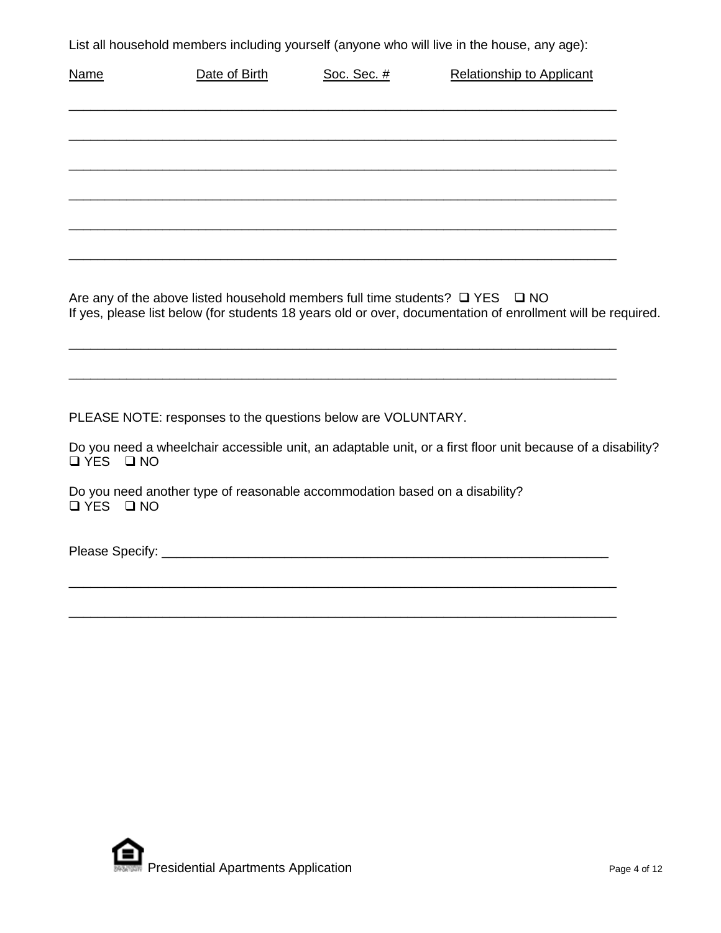List all household members including yourself (anyone who will live in the house, any age):

| <b>Name</b> | Date of Birth                                                                                | Soc. Sec. # | <b>Relationship to Applicant</b>                                                                            |
|-------------|----------------------------------------------------------------------------------------------|-------------|-------------------------------------------------------------------------------------------------------------|
|             |                                                                                              |             |                                                                                                             |
|             |                                                                                              |             |                                                                                                             |
|             |                                                                                              |             |                                                                                                             |
|             |                                                                                              |             |                                                                                                             |
|             | Are any of the above listed household members full time students? $\square$ YES $\square$ NO |             | If yes, please list below (for students 18 years old or over, documentation of enrollment will be required. |
|             |                                                                                              |             |                                                                                                             |
|             | PLEASE NOTE: responses to the questions below are VOLUNTARY.                                 |             |                                                                                                             |
| IYES INO    |                                                                                              |             | Do you need a wheelchair accessible unit, an adaptable unit, or a first floor unit because of a disability? |
| QYESQN      | Do you need another type of reasonable accommodation based on a disability?                  |             |                                                                                                             |
|             |                                                                                              |             |                                                                                                             |
|             |                                                                                              |             |                                                                                                             |
|             |                                                                                              |             |                                                                                                             |

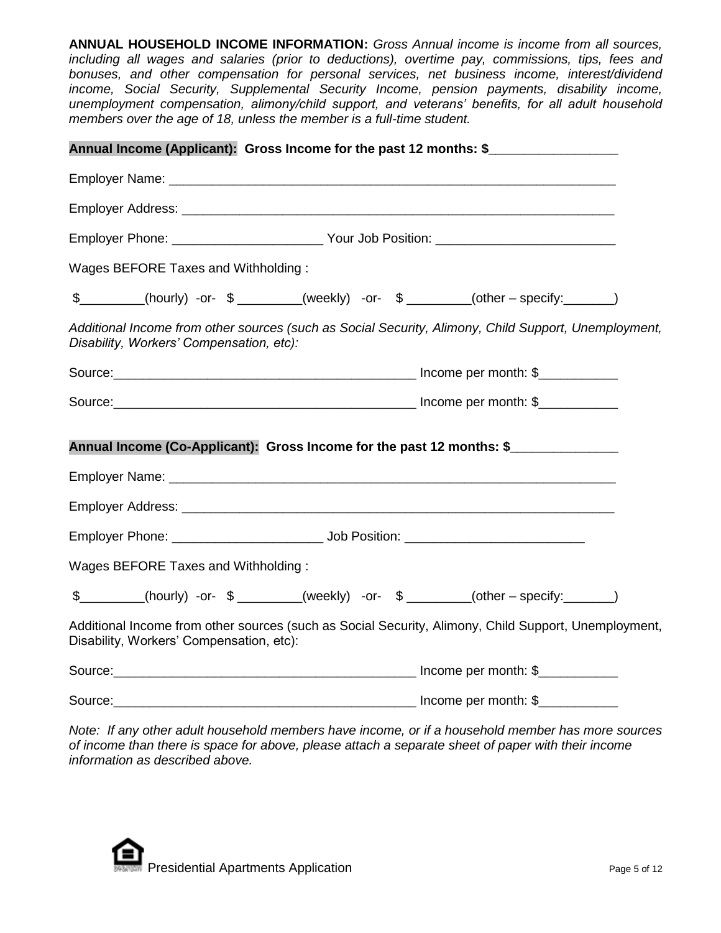**ANNUAL HOUSEHOLD INCOME INFORMATION:** *Gross Annual income is income from all sources, including all wages and salaries (prior to deductions), overtime pay, commissions, tips, fees and bonuses, and other compensation for personal services, net business income, interest/dividend income, Social Security, Supplemental Security Income, pension payments, disability income, unemployment compensation, alimony/child support, and veterans' benefits, for all adult household members over the age of 18, unless the member is a full-time student.* 

|                                          | Annual Income (Applicant): Gross Income for the past 12 months: \$                                   |
|------------------------------------------|------------------------------------------------------------------------------------------------------|
|                                          |                                                                                                      |
|                                          |                                                                                                      |
|                                          | Employer Phone: ______________________________Your Job Position: ___________________________________ |
| Wages BEFORE Taxes and Withholding:      |                                                                                                      |
|                                          | \$________(hourly) -or- \$________(weekly) -or- \$_______(other - specify:______)                    |
| Disability, Workers' Compensation, etc): | Additional Income from other sources (such as Social Security, Alimony, Child Support, Unemployment, |
|                                          |                                                                                                      |
|                                          |                                                                                                      |
|                                          | Annual Income (Co-Applicant): Gross Income for the past 12 months: \$                                |
|                                          |                                                                                                      |
|                                          |                                                                                                      |
|                                          |                                                                                                      |
| Wages BEFORE Taxes and Withholding:      |                                                                                                      |
|                                          | \$________(hourly) -or- \$________(weekly) -or- \$_______(other - specify:______)                    |
| Disability, Workers' Compensation, etc): | Additional Income from other sources (such as Social Security, Alimony, Child Support, Unemployment, |
|                                          |                                                                                                      |
|                                          |                                                                                                      |

*Note: If any other adult household members have income, or if a household member has more sources of income than there is space for above, please attach a separate sheet of paper with their income information as described above.*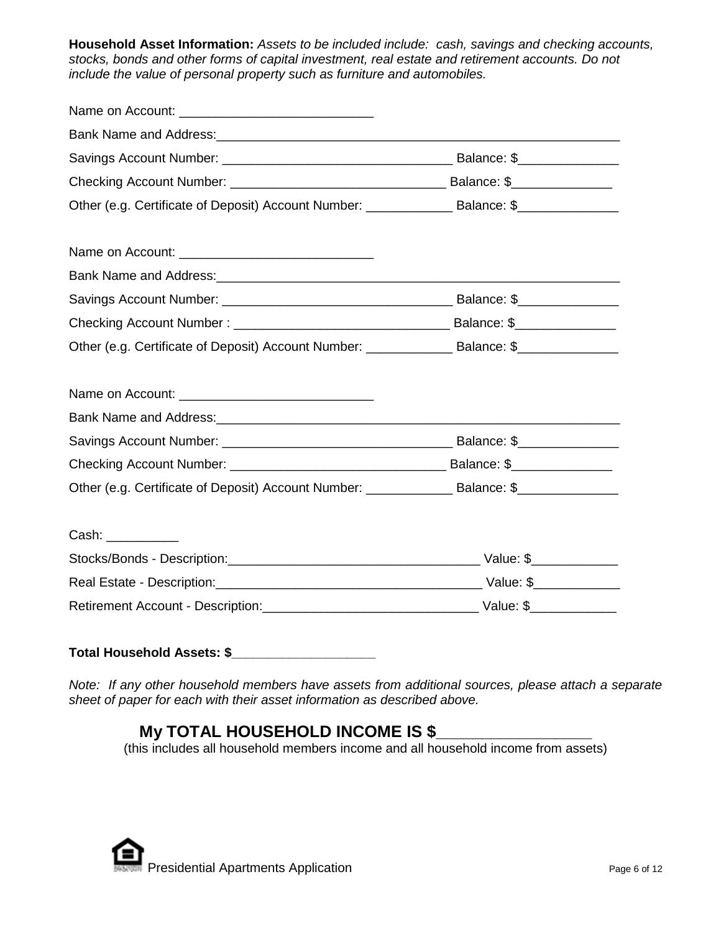**Household Asset Information:** *Assets to be included include: cash, savings and checking accounts, stocks, bonds and other forms of capital investment, real estate and retirement accounts. Do not include the value of personal property such as furniture and automobiles.* 

| Other (e.g. Certificate of Deposit) Account Number: _________________ Balance: \$__________________ |  |  |
|-----------------------------------------------------------------------------------------------------|--|--|
|                                                                                                     |  |  |
|                                                                                                     |  |  |
|                                                                                                     |  |  |
|                                                                                                     |  |  |
|                                                                                                     |  |  |
| Cash: __________                                                                                    |  |  |
|                                                                                                     |  |  |
|                                                                                                     |  |  |
|                                                                                                     |  |  |

## **Total Household Assets: \$\_\_\_\_\_\_\_\_\_\_\_\_\_\_\_\_\_\_\_\_**

*Note: If any other household members have assets from additional sources, please attach a separate sheet of paper for each with their asset information as described above.*

## **My TOTAL HOUSEHOLD INCOME IS \$**

(this includes all household members income and all household income from assets)

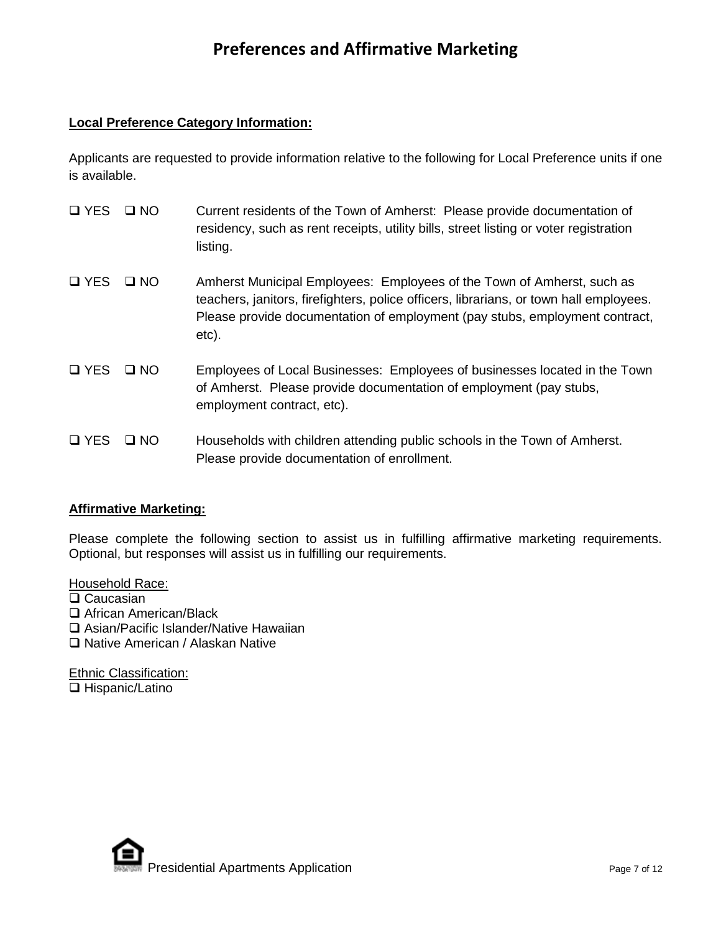## **Preferences and Affirmative Marketing**

### **Local Preference Category Information:**

Applicants are requested to provide information relative to the following for Local Preference units if one is available.

| $\square$ YES        | $\Box$ NO | Current residents of the Town of Amherst: Please provide documentation of<br>residency, such as rent receipts, utility bills, street listing or voter registration<br>listing.                                                                           |
|----------------------|-----------|----------------------------------------------------------------------------------------------------------------------------------------------------------------------------------------------------------------------------------------------------------|
| <b>Q</b> YES         | $\Box$ NO | Amherst Municipal Employees: Employees of the Town of Amherst, such as<br>teachers, janitors, firefighters, police officers, librarians, or town hall employees.<br>Please provide documentation of employment (pay stubs, employment contract,<br>etc). |
| $\Box$ YES $\Box$ NO |           | Employees of Local Businesses: Employees of businesses located in the Town<br>of Amherst. Please provide documentation of employment (pay stubs,<br>employment contract, etc).                                                                           |
| $\square$ YES        | $\Box$ NO | Households with children attending public schools in the Town of Amherst.<br>Please provide documentation of enrollment.                                                                                                                                 |

### **Affirmative Marketing:**

Please complete the following section to assist us in fulfilling affirmative marketing requirements. Optional, but responses will assist us in fulfilling our requirements.

Household Race:

- □ Caucasian
- □ African American/Black
- □ Asian/Pacific Islander/Native Hawaiian
- □ Native American / Alaskan Native

Ethnic Classification: □ Hispanic/Latino

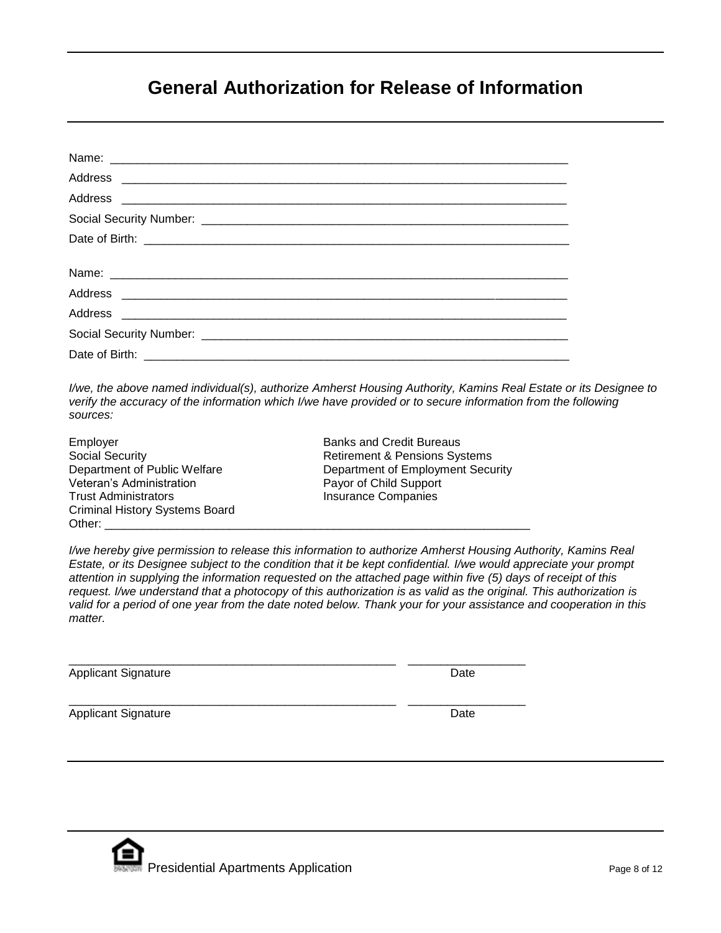## **General Authorization for Release of Information**

*I/we, the above named individual(s), authorize Amherst Housing Authority, Kamins Real Estate or its Designee to verify the accuracy of the information which I/we have provided or to secure information from the following sources:*

Social Security<br>
Department of Public Welfare The Retirement & Pensions Systems<br>
Department of Employment Secu Veteran's Administration **Payor of Child Support** Trust Administrators **Insurance Companies** Criminal History Systems Board Other: \_\_\_\_\_\_\_\_\_\_\_\_\_\_\_\_\_\_\_\_\_\_\_\_\_\_\_\_\_\_\_\_\_\_\_\_\_\_\_\_\_\_\_\_\_\_\_\_\_\_\_\_\_\_\_\_\_\_\_\_\_\_\_\_\_

Employer **Banks** and Credit Bureaus Department of Employment Security

*I/we hereby give permission to release this information to authorize Amherst Housing Authority, Kamins Real Estate, or its Designee subject to the condition that it be kept confidential. I/we would appreciate your prompt attention in supplying the information requested on the attached page within five (5) days of receipt of this request. I/we understand that a photocopy of this authorization is as valid as the original. This authorization is valid for a period of one year from the date noted below. Thank your for your assistance and cooperation in this matter.*

\_\_\_\_\_\_\_\_\_\_\_\_\_\_\_\_\_\_\_\_\_\_\_\_\_\_\_\_\_\_\_\_\_\_\_\_\_\_\_\_\_\_\_\_\_\_\_\_\_\_ \_\_\_\_\_\_\_\_\_\_\_\_\_\_\_\_\_\_

\_\_\_\_\_\_\_\_\_\_\_\_\_\_\_\_\_\_\_\_\_\_\_\_\_\_\_\_\_\_\_\_\_\_\_\_\_\_\_\_\_\_\_\_\_\_\_\_\_\_ \_\_\_\_\_\_\_\_\_\_\_\_\_\_\_\_\_\_

Applicant Signature Date Date Applicant Signature Date

Applicant Signature Date Applicant Signature Date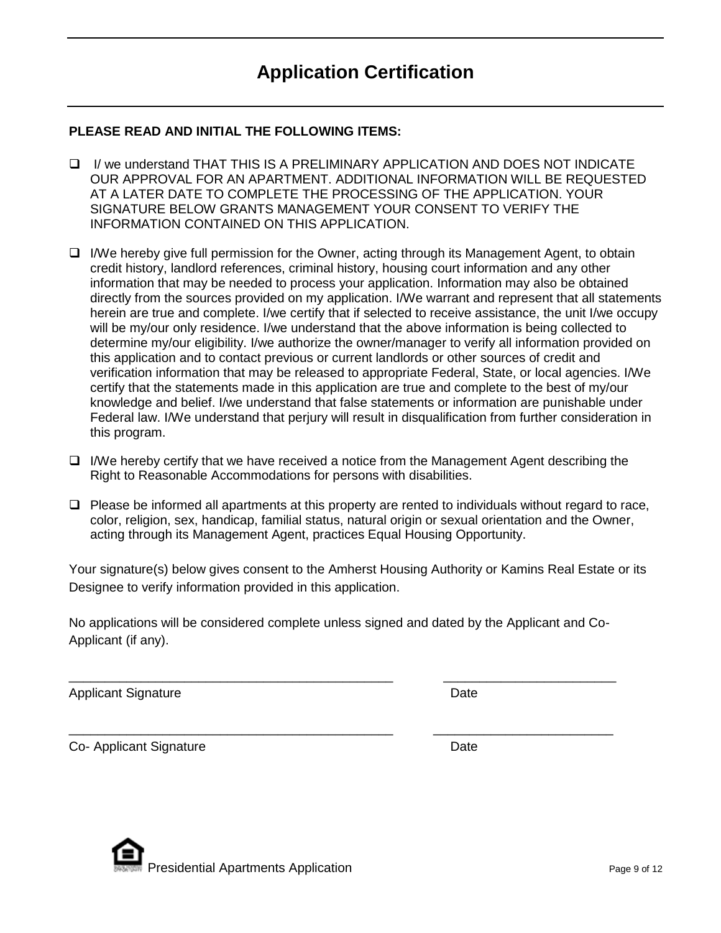## **PLEASE READ AND INITIAL THE FOLLOWING ITEMS:**

- I/ we understand THAT THIS IS A PRELIMINARY APPLICATION AND DOES NOT INDICATE OUR APPROVAL FOR AN APARTMENT. ADDITIONAL INFORMATION WILL BE REQUESTED AT A LATER DATE TO COMPLETE THE PROCESSING OF THE APPLICATION. YOUR SIGNATURE BELOW GRANTS MANAGEMENT YOUR CONSENT TO VERIFY THE INFORMATION CONTAINED ON THIS APPLICATION.
- $\Box$  I/We hereby give full permission for the Owner, acting through its Management Agent, to obtain credit history, landlord references, criminal history, housing court information and any other information that may be needed to process your application. Information may also be obtained directly from the sources provided on my application. I/We warrant and represent that all statements herein are true and complete. I/we certify that if selected to receive assistance, the unit I/we occupy will be my/our only residence. I/we understand that the above information is being collected to determine my/our eligibility. I/we authorize the owner/manager to verify all information provided on this application and to contact previous or current landlords or other sources of credit and verification information that may be released to appropriate Federal, State, or local agencies. I/We certify that the statements made in this application are true and complete to the best of my/our knowledge and belief. I/we understand that false statements or information are punishable under Federal law. I/We understand that perjury will result in disqualification from further consideration in this program.
- $\Box$  I/We hereby certify that we have received a notice from the Management Agent describing the Right to Reasonable Accommodations for persons with disabilities.
- $\Box$  Please be informed all apartments at this property are rented to individuals without regard to race, color, religion, sex, handicap, familial status, natural origin or sexual orientation and the Owner, acting through its Management Agent, practices Equal Housing Opportunity.

Your signature(s) below gives consent to the Amherst Housing Authority or Kamins Real Estate or its Designee to verify information provided in this application.

No applications will be considered complete unless signed and dated by the Applicant and Co-Applicant (if any).

\_\_\_\_\_\_\_\_\_\_\_\_\_\_\_\_\_\_\_\_\_\_\_\_\_\_\_\_\_\_\_\_\_\_\_\_\_\_\_\_\_\_\_\_\_ \_\_\_\_\_\_\_\_\_\_\_\_\_\_\_\_\_\_\_\_\_\_\_\_

\_\_\_\_\_\_\_\_\_\_\_\_\_\_\_\_\_\_\_\_\_\_\_\_\_\_\_\_\_\_\_\_\_\_\_\_\_\_\_\_\_\_\_\_\_ \_\_\_\_\_\_\_\_\_\_\_\_\_\_\_\_\_\_\_\_\_\_\_\_\_

Applicant Signature Date Date

Co- Applicant Signature Date Date

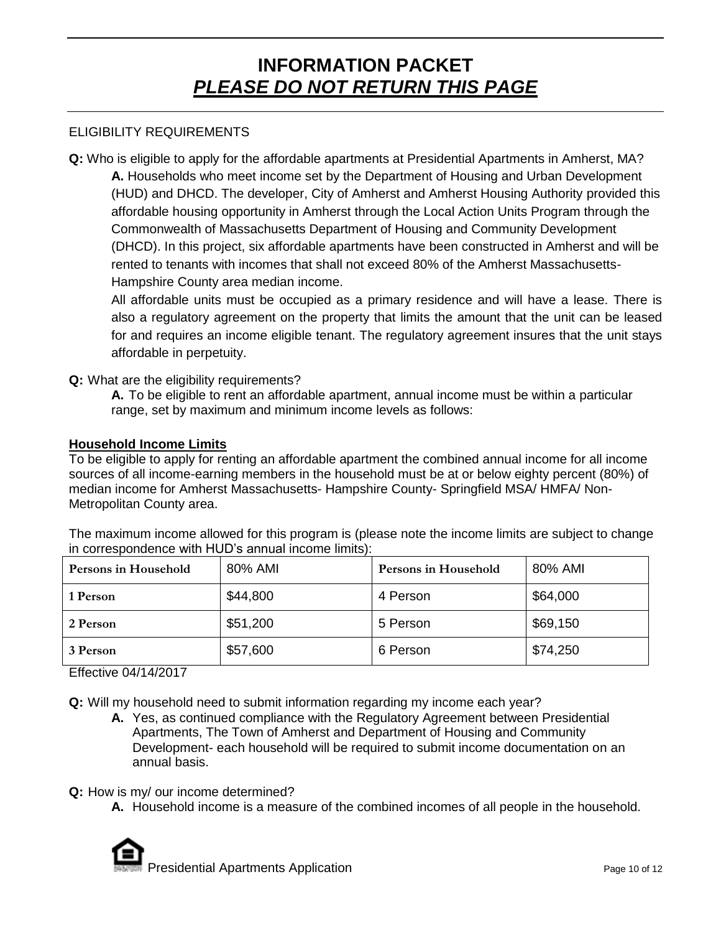# **INFORMATION PACKET** *PLEASE DO NOT RETURN THIS PAGE*

### ELIGIBILITY REQUIREMENTS

**Q:** Who is eligible to apply for the affordable apartments at Presidential Apartments in Amherst, MA? **A.** Households who meet income set by the Department of Housing and Urban Development (HUD) and DHCD. The developer, City of Amherst and Amherst Housing Authority provided this affordable housing opportunity in Amherst through the Local Action Units Program through the Commonwealth of Massachusetts Department of Housing and Community Development (DHCD). In this project, six affordable apartments have been constructed in Amherst and will be rented to tenants with incomes that shall not exceed 80% of the Amherst Massachusetts-Hampshire County area median income.

All affordable units must be occupied as a primary residence and will have a lease. There is also a regulatory agreement on the property that limits the amount that the unit can be leased for and requires an income eligible tenant. The regulatory agreement insures that the unit stays affordable in perpetuity.

#### **Q:** What are the eligibility requirements?

**A.** To be eligible to rent an affordable apartment, annual income must be within a particular range, set by maximum and minimum income levels as follows:

#### **Household Income Limits**

To be eligible to apply for renting an affordable apartment the combined annual income for all income sources of all income-earning members in the household must be at or below eighty percent (80%) of median income for Amherst Massachusetts- Hampshire County- Springfield MSA/ HMFA/ Non-Metropolitan County area.

The maximum income allowed for this program is (please note the income limits are subject to change in correspondence with HUD's annual income limits):

| Persons in Household | 80% AMI  | Persons in Household | 80% AMI  |
|----------------------|----------|----------------------|----------|
| 1 Person             | \$44,800 | 4 Person             | \$64,000 |
| 2 Person             | \$51,200 | 5 Person             | \$69,150 |
| 3 Person             | \$57,600 | 6 Person             | \$74,250 |

Effective 04/14/2017

**Q:** Will my household need to submit information regarding my income each year?

- **A.** Yes, as continued compliance with the Regulatory Agreement between Presidential Apartments, The Town of Amherst and Department of Housing and Community Development- each household will be required to submit income documentation on an annual basis.
- **Q:** How is my/ our income determined?
	- **A.** Household income is a measure of the combined incomes of all people in the household.

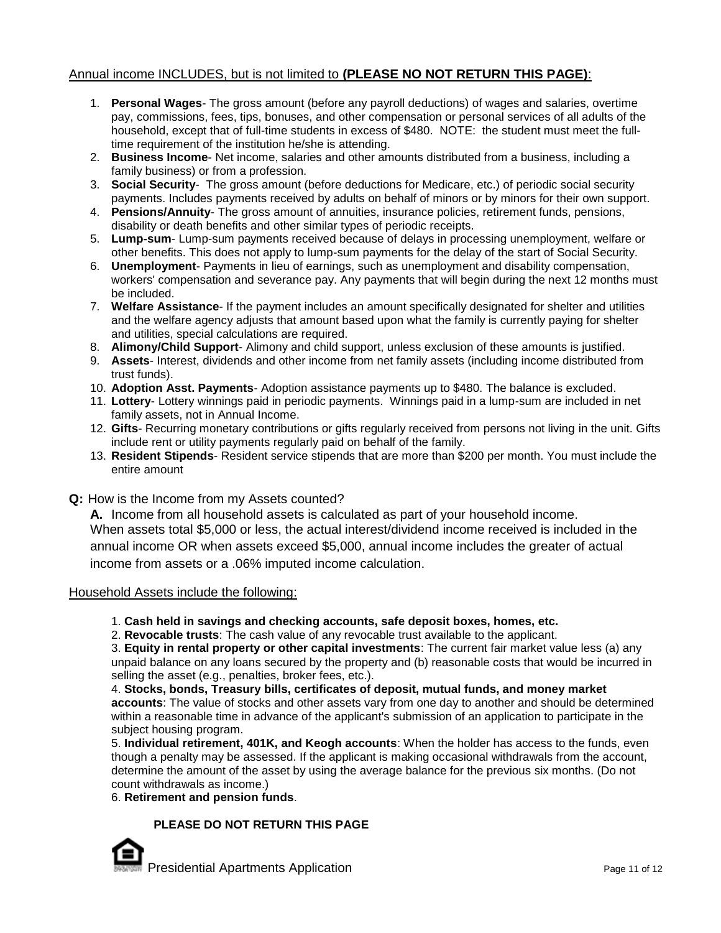## Annual income INCLUDES, but is not limited to **(PLEASE NO NOT RETURN THIS PAGE)**:

- 1. **Personal Wages** The gross amount (before any payroll deductions) of wages and salaries, overtime pay, commissions, fees, tips, bonuses, and other compensation or personal services of all adults of the household, except that of full-time students in excess of \$480. NOTE: the student must meet the fulltime requirement of the institution he/she is attending.
- 2. **Business Income** Net income, salaries and other amounts distributed from a business, including a family business) or from a profession.
- 3. **Social Security** The gross amount (before deductions for Medicare, etc.) of periodic social security payments. Includes payments received by adults on behalf of minors or by minors for their own support.
- 4. **Pensions/Annuity** The gross amount of annuities, insurance policies, retirement funds, pensions, disability or death benefits and other similar types of periodic receipts.
- 5. **Lump-sum** Lump-sum payments received because of delays in processing unemployment, welfare or other benefits. This does not apply to lump-sum payments for the delay of the start of Social Security.
- 6. **Unemployment** Payments in lieu of earnings, such as unemployment and disability compensation, workers' compensation and severance pay. Any payments that will begin during the next 12 months must be included.
- 7. **Welfare Assistance** If the payment includes an amount specifically designated for shelter and utilities and the welfare agency adjusts that amount based upon what the family is currently paying for shelter and utilities, special calculations are required.
- 8. **Alimony/Child Support** Alimony and child support, unless exclusion of these amounts is justified.
- 9. **Assets** Interest, dividends and other income from net family assets (including income distributed from trust funds).
- 10. **Adoption Asst. Payments** Adoption assistance payments up to \$480. The balance is excluded.
- 11. **Lottery** Lottery winnings paid in periodic payments. Winnings paid in a lump-sum are included in net family assets, not in Annual Income.
- 12. **Gifts** Recurring monetary contributions or gifts regularly received from persons not living in the unit. Gifts include rent or utility payments regularly paid on behalf of the family.
- 13. **Resident Stipends** Resident service stipends that are more than \$200 per month. You must include the entire amount
- **Q:** How is the Income from my Assets counted?

**A.** Income from all household assets is calculated as part of your household income. When assets total \$5,000 or less, the actual interest/dividend income received is included in the annual income OR when assets exceed \$5,000, annual income includes the greater of actual income from assets or a .06% imputed income calculation.

#### Household Assets include the following:

- 1. **Cash held in savings and checking accounts, safe deposit boxes, homes, etc.**
- 2. **Revocable trusts**: The cash value of any revocable trust available to the applicant.

3. **Equity in rental property or other capital investments**: The current fair market value less (a) any unpaid balance on any loans secured by the property and (b) reasonable costs that would be incurred in selling the asset (e.g., penalties, broker fees, etc.).

4. **Stocks, bonds, Treasury bills, certificates of deposit, mutual funds, and money market accounts**: The value of stocks and other assets vary from one day to another and should be determined within a reasonable time in advance of the applicant's submission of an application to participate in the subject housing program.

5. **Individual retirement, 401K, and Keogh accounts**: When the holder has access to the funds, even though a penalty may be assessed. If the applicant is making occasional withdrawals from the account, determine the amount of the asset by using the average balance for the previous six months. (Do not count withdrawals as income.)

#### 6. **Retirement and pension funds**.

#### **PLEASE DO NOT RETURN THIS PAGE**